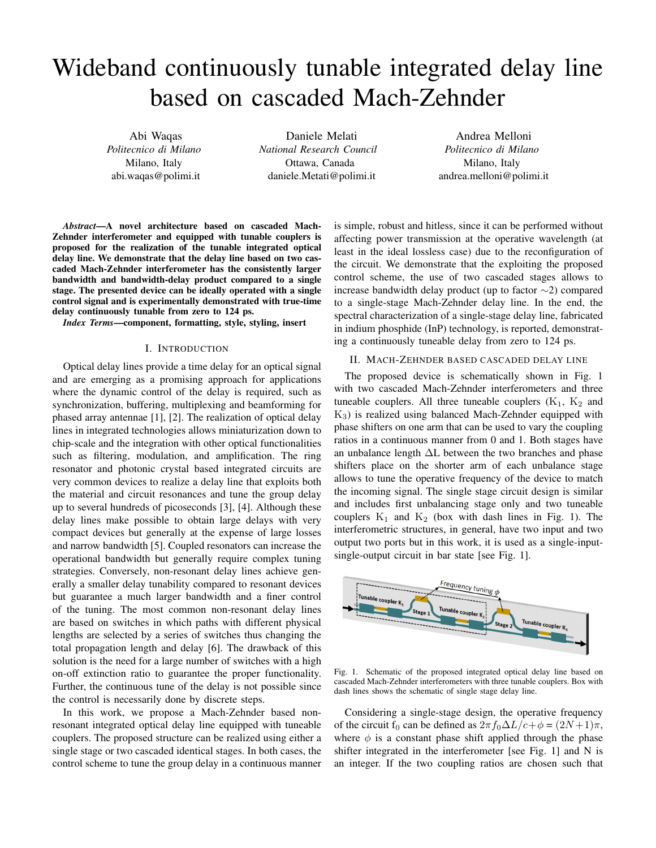# Wideband continuously tunable integrated delay line based on cascaded Mach-Zehnder

Abi Waqas *Politecnico di Milano* Milano, Italy abi.waqas@polimi.it

Daniele Melati *National Research Council* Ottawa, Canada daniele.Metati@polimi.it

Andrea Melloni *Politecnico di Milano* Milano, Italy andrea.melloni@polimi.it

*Abstract*—A novel architecture based on cascaded Mach-Zehnder interferometer and equipped with tunable couplers is proposed for the realization of the tunable integrated optical delay line. We demonstrate that the delay line based on two cascaded Mach-Zehnder interferometer has the consistently larger bandwidth and bandwidth-delay product compared to a single stage. The presented device can be ideally operated with a single control signal and is experimentally demonstrated with true-time delay continuously tunable from zero to 124 ps.

*Index Terms*—component, formatting, style, styling, insert

## I. INTRODUCTION

Optical delay lines provide a time delay for an optical signal and are emerging as a promising approach for applications where the dynamic control of the delay is required, such as synchronization, buffering, multiplexing and beamforming for phased array antennae [1], [2]. The realization of optical delay lines in integrated technologies allows miniaturization down to chip-scale and the integration with other optical functionalities such as filtering, modulation, and amplification. The ring resonator and photonic crystal based integrated circuits are very common devices to realize a delay line that exploits both the material and circuit resonances and tune the group delay up to several hundreds of picoseconds [3], [4]. Although these delay lines make possible to obtain large delays with very compact devices but generally at the expense of large losses and narrow bandwidth [5]. Coupled resonators can increase the operational bandwidth but generally require complex tuning strategies. Conversely, non-resonant delay lines achieve generally a smaller delay tunability compared to resonant devices but guarantee a much larger bandwidth and a finer control of the tuning. The most common non-resonant delay lines are based on switches in which paths with different physical lengths are selected by a series of switches thus changing the total propagation length and delay [6]. The drawback of this solution is the need for a large number of switches with a high on-off extinction ratio to guarantee the proper functionality. Further, the continuous tune of the delay is not possible since the control is necessarily done by discrete steps.

In this work, we propose a Mach-Zehnder based nonresonant integrated optical delay line equipped with tuneable couplers. The proposed structure can be realized using either a single stage or two cascaded identical stages. In both cases, the control scheme to tune the group delay in a continuous manner is simple, robust and hitless, since it can be performed without affecting power transmission at the operative wavelength (at least in the ideal lossless case) due to the reconfiguration of the circuit. We demonstrate that the exploiting the proposed control scheme, the use of two cascaded stages allows to increase bandwidth delay product (up to factor ∼2) compared to a single-stage Mach-Zehnder delay line. In the end, the spectral characterization of a single-stage delay line, fabricated in indium phosphide (InP) technology, is reported, demonstrating a continuously tuneable delay from zero to 124 ps.

# II. MACH-ZEHNDER BASED CASCADED DELAY LINE

The proposed device is schematically shown in Fig. 1 with two cascaded Mach-Zehnder interferometers and three tuneable couplers. All three tuneable couplers  $(K_1, K_2, M_1)$  $K<sub>3</sub>$ ) is realized using balanced Mach-Zehnder equipped with phase shifters on one arm that can be used to vary the coupling ratios in a continuous manner from 0 and 1. Both stages have an unbalance length ∆L between the two branches and phase shifters place on the shorter arm of each unbalance stage allows to tune the operative frequency of the device to match the incoming signal. The single stage circuit design is similar and includes first unbalancing stage only and two tuneable couplers  $K_1$  and  $K_2$  (box with dash lines in Fig. 1). The interferometric structures, in general, have two input and two output two ports but in this work, it is used as a single-inputsingle-output circuit in bar state [see Fig. 1].



Fig. 1. Schematic of the proposed integrated optical delay line based on cascaded Mach-Zehnder interferometers with three tunable couplers. Box with dash lines shows the schematic of single stage delay line.

Considering a single-stage design, the operative frequency of the circuit f<sub>0</sub> can be defined as  $2\pi f_0\Delta L/c+\phi = (2N+1)\pi$ , where  $\phi$  is a constant phase shift applied through the phase shifter integrated in the interferometer [see Fig. 1] and N is an integer. If the two coupling ratios are chosen such that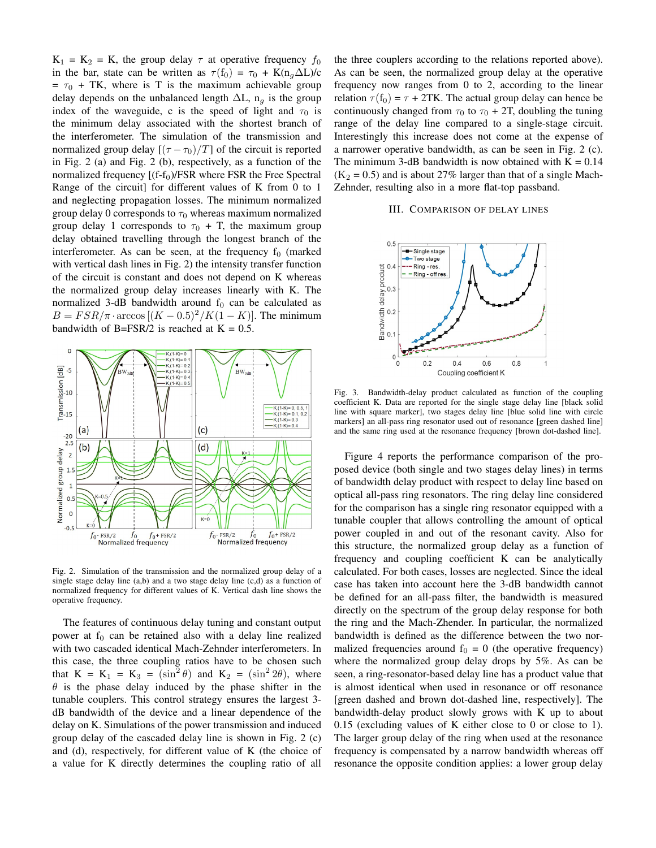$K_1 = K_2 = K$ , the group delay  $\tau$  at operative frequency  $f_0$ in the bar, state can be written as  $\tau(f_0) = \tau_0 + K(n_0 \Delta L)/c$  $= \tau_0$  + TK, where is T is the maximum achievable group delay depends on the unbalanced length  $\Delta L$ , n<sub>q</sub> is the group index of the waveguide, c is the speed of light and  $\tau_0$  is the minimum delay associated with the shortest branch of the interferometer. The simulation of the transmission and normalized group delay  $[(\tau - \tau_0)/T]$  of the circuit is reported in Fig. 2 (a) and Fig. 2 (b), respectively, as a function of the normalized frequency  $[(f-f<sub>0</sub>)/FSR$  where FSR the Free Spectral Range of the circuit] for different values of K from 0 to 1 and neglecting propagation losses. The minimum normalized group delay 0 corresponds to  $\tau_0$  whereas maximum normalized group delay 1 corresponds to  $\tau_0$  + T, the maximum group delay obtained travelling through the longest branch of the interferometer. As can be seen, at the frequency  $f_0$  (marked with vertical dash lines in Fig. 2) the intensity transfer function of the circuit is constant and does not depend on K whereas the normalized group delay increases linearly with K. The normalized 3-dB bandwidth around  $f_0$  can be calculated as  $B = FSR/\pi \cdot \arccos[(K - 0.5)^2/K(1 - K)]$ . The minimum bandwidth of B=FSR/2 is reached at  $K = 0.5$ .



Fig. 2. Simulation of the transmission and the normalized group delay of a single stage delay line (a,b) and a two stage delay line (c,d) as a function of normalized frequency for different values of K. Vertical dash line shows the operative frequency.

The features of continuous delay tuning and constant output power at  $f_0$  can be retained also with a delay line realized with two cascaded identical Mach-Zehnder interferometers. In this case, the three coupling ratios have to be chosen such that  $K = K_1 = K_3 = (\sin^2 \theta)$  and  $K_2 = (\sin^2 2\theta)$ , where  $\theta$  is the phase delay induced by the phase shifter in the tunable couplers. This control strategy ensures the largest 3 dB bandwidth of the device and a linear dependence of the delay on K. Simulations of the power transmission and induced group delay of the cascaded delay line is shown in Fig. 2 (c) and (d), respectively, for different value of K (the choice of a value for K directly determines the coupling ratio of all the three couplers according to the relations reported above). As can be seen, the normalized group delay at the operative frequency now ranges from 0 to 2, according to the linear relation  $\tau(f_0) = \tau + 2TK$ . The actual group delay can hence be continuously changed from  $\tau_0$  to  $\tau_0$  + 2T, doubling the tuning range of the delay line compared to a single-stage circuit. Interestingly this increase does not come at the expense of a narrower operative bandwidth, as can be seen in Fig. 2 (c). The minimum 3-dB bandwidth is now obtained with  $K = 0.14$  $(K_2 = 0.5)$  and is about 27% larger than that of a single Mach-Zehnder, resulting also in a more flat-top passband.

## III. COMPARISON OF DELAY LINES



Fig. 3. Bandwidth-delay product calculated as function of the coupling coefficient K. Data are reported for the single stage delay line [black solid line with square marker], two stages delay line [blue solid line with circle markers] an all-pass ring resonator used out of resonance [green dashed line] and the same ring used at the resonance frequency [brown dot-dashed line].

Figure 4 reports the performance comparison of the proposed device (both single and two stages delay lines) in terms of bandwidth delay product with respect to delay line based on optical all-pass ring resonators. The ring delay line considered for the comparison has a single ring resonator equipped with a tunable coupler that allows controlling the amount of optical power coupled in and out of the resonant cavity. Also for this structure, the normalized group delay as a function of frequency and coupling coefficient K can be analytically calculated. For both cases, losses are neglected. Since the ideal case has taken into account here the 3-dB bandwidth cannot be defined for an all-pass filter, the bandwidth is measured directly on the spectrum of the group delay response for both the ring and the Mach-Zhender. In particular, the normalized bandwidth is defined as the difference between the two normalized frequencies around  $f_0 = 0$  (the operative frequency) where the normalized group delay drops by 5%. As can be seen, a ring-resonator-based delay line has a product value that is almost identical when used in resonance or off resonance [green dashed and brown dot-dashed line, respectively]. The bandwidth-delay product slowly grows with K up to about 0.15 (excluding values of K either close to 0 or close to 1). The larger group delay of the ring when used at the resonance frequency is compensated by a narrow bandwidth whereas off resonance the opposite condition applies: a lower group delay